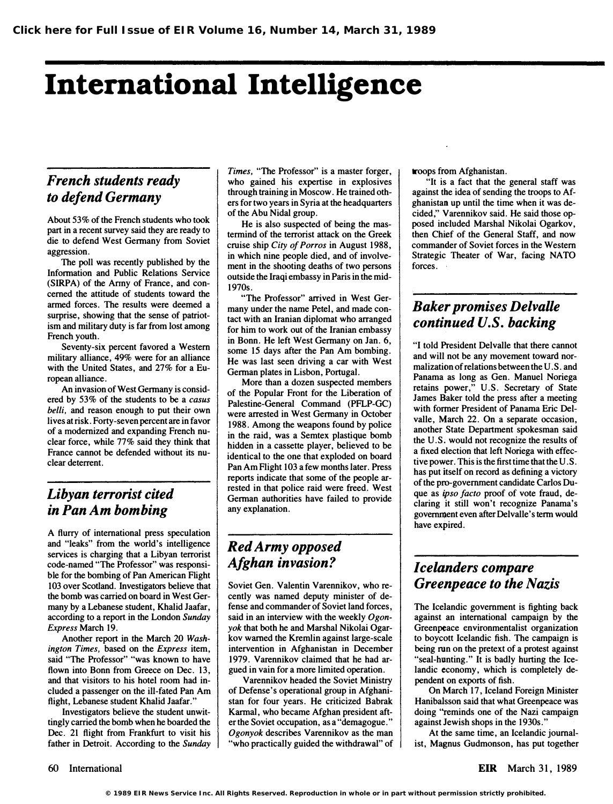# International Intelligence

# French students ready to defend Germany

About 53% of the French students who took part in a recent survey said they are ready to die to defend West Germany from Soviet aggression.

The poll was recently published by the Infonnation and Public Relations Service (SIRPA) of the Army of France, and concerned the attitude of students toward the armed forces. The results were deemed a surprise, showing that the sense of patriotism and military duty is far from lost among French youth.

Seventy-six percent favored a Western military alliance, 49% were for an alliance with the United States, and 27% for a European alliance.

An invasion of West Germany is considered by 53% of the students to be a casus belli, and reason enough to put their own lives at risk. Forty-seven percent are in favor of a modernized and expanding French nuclear force, while 77% said they think that France cannot be defended without its nuclear deterrent.

#### Libyan terrorist cited in Pan Am bombing

A flurry of international press speculation and "leaks" from the world's intelligence services is charging that a Libyan terrorist code-named "The Professor" was responsible for the bombing of Pan American Flight 103 over Scotland. Investigators believe that the bomb was carried on board in West Germany by a Lebanese student, Khalid Jaafar, according to a report in the London Sunday Express March 19.

Another report in the March 20 Washington Times, based on the Express item, said "The Professor" "was known to have flown into Bonn from Greece on Dec. 13, and that visitors to his hotel room had included a passenger on the ill-fated Pan Am flight, Lebanese student Khalid Jaafar."

Investigators believe the student unwittingly carried the bomb when he boarded the Dec. 21 flight from Frankfurt to visit his father in Detroit. According to the Sunday Times, "The Professor" is a master forger, who gained his expertise in explosives through training in Moscow. He trained others for two years in Syria at the headquarters of the Abu Nidal group.

He is also suspected of being the mastermind of the terrorist attack on the Greek cruise ship City of Porros in August 1988, in which nine people died, and of involvement in the shooting deaths of two persons outside the Iraqi embassy in Paris in the mid-1970s.

''The Professor" arrived in West Germany under the name Petel, and made contact with an Iranian diplomat who arranged for him to work out of the Iranian embassy in Bonn. He left West Germany on Jan. 6, some 15 days after the Pan Am bombing. He was last seen driving a car with West German plates in Lisbon, Portugal.

More than a dozen suspected members of the Popular Front for the Liberation of Palestine-General Command (PFLP-GC) were arrested in West Germany in October 1988. Among the weapons found by police in the raid, was a Semtex plastique bomb hidden in a cassette player, believed to be identical to the one that exploded on board Pan Am Flight 103 a few months later. Press reports indicate that some of the people arrested in that police raid were freed. West German authorities have failed to provide any explanation.

### Red Army opposed Afghan invasion?

Soviet Gen. Valentin Varennikov, who recently was named deputy minister of defense and commander of Soviet land forces, said in an interview with the weekly  $Ogon$ yok that both he and Marshal Nikolai Ogarkov warned the Kremlin against large-scale intervention in Afghanistan in December 1979. Varennikov claimed that he had argued in vain for a more limited operation.

Varennikov headed the Soviet Ministry of Defense's operational group in Afghanistan for four years. He criticized Babrak Karmal, who became Afghan president after the Soviet occupation, as a "demagogue." Ogonyok describes Varennikov as the man "who practically guided the withdrawal" of troops from Afghanistan.

"It is a fact that the general staff was against the idea of sending the troops to Afghanistan up until the time when it was decided," Varennikov said. He said those opposed included Marshal Nikolai Ogarkov, then Chief of the General Staff, and now commander of Soviet forces in the Western Strategic Theater of War, facing NATO forces.

# Baker promises Delvalle continued U.S. backing

"I told President Delvalle that there cannot and will not be any movement toward normalization of relations between the U. S. and Panama as long as Gen. Manuel Noriega retains power," U.S. Secretary of State James Baker told the press after a meeting with former President of Panama Eric Delvalle, March 22. On a separate occasion, another State Department spokesman said the U.S; would not recognize the results of a fixed election that left Noriega with effective power. This is the first time that the U .S. has put itself on record as defining a victory of the pro-government candidate Carlos Duque as ipso facto proof of vote fraud, declaring jt still won't recognize Panama's government even after Delvalle's term would have expired.

# Icelanders compare Greenpeace to the Nazis

The Icelandic government is fighting back against an international campaign by the Greenpeace environmentalist organization to boycott Icelandic fish. The campaign is being run on the pretext of a protest against "seal-hunting." It is badly hurting the Icelandic economy, which is completely dependent on exports of fish.

On March 17, Iceland Foreign Minister Hanibalsson said that what Greenpeace was doing "reminds one of the Nazi campaign against Jewish shops in the 1930s."

At the same time, an Icelandic journalist, Magnus Gudmonson, has put together